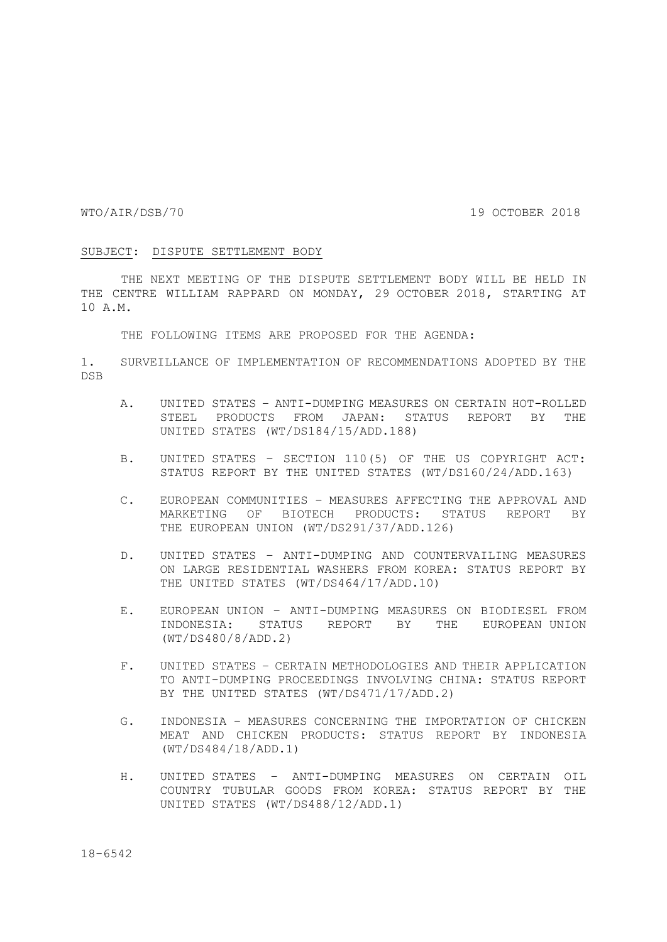## WTO/AIR/DSB/70 19 OCTOBER 2018

## SUBJECT: DISPUTE SETTLEMENT BODY

THE NEXT MEETING OF THE DISPUTE SETTLEMENT BODY WILL BE HELD IN THE CENTRE WILLIAM RAPPARD ON MONDAY, 29 OCTOBER 2018, STARTING AT 10 A.M.

THE FOLLOWING ITEMS ARE PROPOSED FOR THE AGENDA:

1. SURVEILLANCE OF IMPLEMENTATION OF RECOMMENDATIONS ADOPTED BY THE DSB

- A. UNITED STATES ANTI-DUMPING MEASURES ON CERTAIN HOT-ROLLED STEEL PRODUCTS FROM JAPAN: STATUS REPORT BY THE UNITED STATES (WT/DS184/15/ADD.188)
- B. UNITED STATES SECTION 110(5) OF THE US COPYRIGHT ACT: STATUS REPORT BY THE UNITED STATES (WT/DS160/24/ADD.163)
- C. EUROPEAN COMMUNITIES MEASURES AFFECTING THE APPROVAL AND MARKETING OF BIOTECH PRODUCTS: STATUS REPORT BY THE EUROPEAN UNION (WT/DS291/37/ADD.126)
- D. UNITED STATES ANTI-DUMPING AND COUNTERVAILING MEASURES ON LARGE RESIDENTIAL WASHERS FROM KOREA: STATUS REPORT BY THE UNITED STATES (WT/DS464/17/ADD.10)
- E. EUROPEAN UNION ANTI-DUMPING MEASURES ON BIODIESEL FROM INDONESIA: STATUS REPORT BY THE EUROPEAN UNION (WT/DS480/8/ADD.2)
- F. UNITED STATES CERTAIN METHODOLOGIES AND THEIR APPLICATION TO ANTI-DUMPING PROCEEDINGS INVOLVING CHINA: STATUS REPORT BY THE UNITED STATES (WT/DS471/17/ADD.2)
- G. INDONESIA MEASURES CONCERNING THE IMPORTATION OF CHICKEN MEAT AND CHICKEN PRODUCTS: STATUS REPORT BY INDONESIA (WT/DS484/18/ADD.1)
- H. UNITED STATES ANTI-DUMPING MEASURES ON CERTAIN OIL COUNTRY TUBULAR GOODS FROM KOREA: STATUS REPORT BY THE UNITED STATES (WT/DS488/12/ADD.1)

18-6542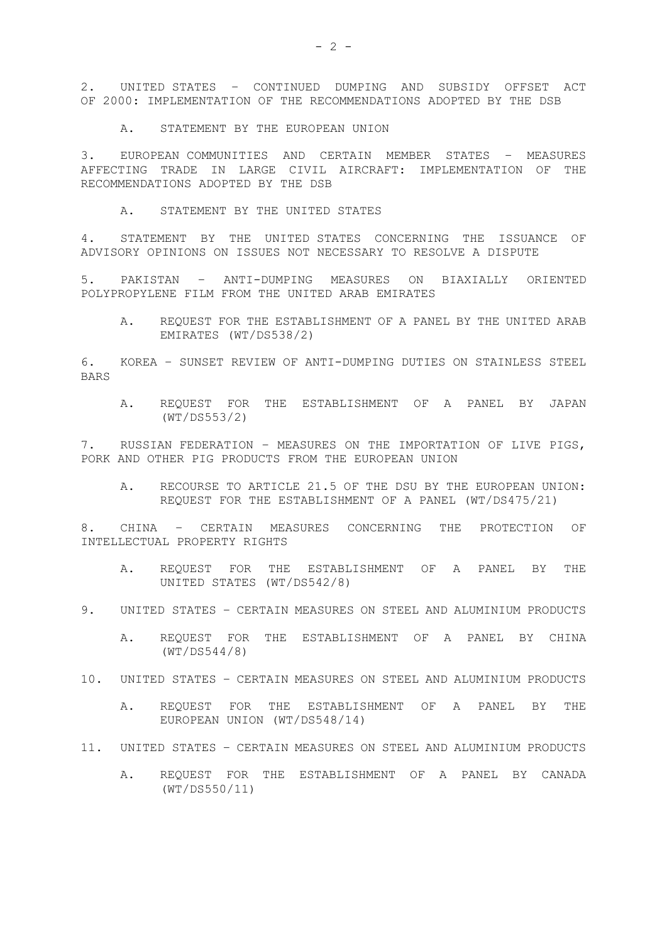2. UNITED STATES – CONTINUED DUMPING AND SUBSIDY OFFSET ACT OF 2000: IMPLEMENTATION OF THE RECOMMENDATIONS ADOPTED BY THE DSB

A. STATEMENT BY THE EUROPEAN UNION

3. EUROPEAN COMMUNITIES AND CERTAIN MEMBER STATES – MEASURES AFFECTING TRADE IN LARGE CIVIL AIRCRAFT: IMPLEMENTATION OF THE RECOMMENDATIONS ADOPTED BY THE DSB

A. STATEMENT BY THE UNITED STATES

4. STATEMENT BY THE UNITED STATES CONCERNING THE ISSUANCE OF ADVISORY OPINIONS ON ISSUES NOT NECESSARY TO RESOLVE A DISPUTE

5. PAKISTAN – ANTI-DUMPING MEASURES ON BIAXIALLY ORIENTED POLYPROPYLENE FILM FROM THE UNITED ARAB EMIRATES

A. REQUEST FOR THE ESTABLISHMENT OF A PANEL BY THE UNITED ARAB EMIRATES (WT/DS538/2)

6. KOREA – SUNSET REVIEW OF ANTI-DUMPING DUTIES ON STAINLESS STEEL BARS

A. REQUEST FOR THE ESTABLISHMENT OF A PANEL BY JAPAN (WT/DS553/2)

7. RUSSIAN FEDERATION – MEASURES ON THE IMPORTATION OF LIVE PIGS, PORK AND OTHER PIG PRODUCTS FROM THE EUROPEAN UNION

A. RECOURSE TO ARTICLE 21.5 OF THE DSU BY THE EUROPEAN UNION: REQUEST FOR THE ESTABLISHMENT OF A PANEL (WT/DS475/21)

8. CHINA – CERTAIN MEASURES CONCERNING THE PROTECTION OF INTELLECTUAL PROPERTY RIGHTS

- A. REQUEST FOR THE ESTABLISHMENT OF A PANEL BY THE UNITED STATES (WT/DS542/8)
- 9. UNITED STATES CERTAIN MEASURES ON STEEL AND ALUMINIUM PRODUCTS
	- A. REQUEST FOR THE ESTABLISHMENT OF A PANEL BY CHINA (WT/DS544/8)
- 10. UNITED STATES CERTAIN MEASURES ON STEEL AND ALUMINIUM PRODUCTS
	- A. REQUEST FOR THE ESTABLISHMENT OF A PANEL BY THE EUROPEAN UNION (WT/DS548/14)
- 11. UNITED STATES CERTAIN MEASURES ON STEEL AND ALUMINIUM PRODUCTS
	- A. REQUEST FOR THE ESTABLISHMENT OF A PANEL BY CANADA (WT/DS550/11)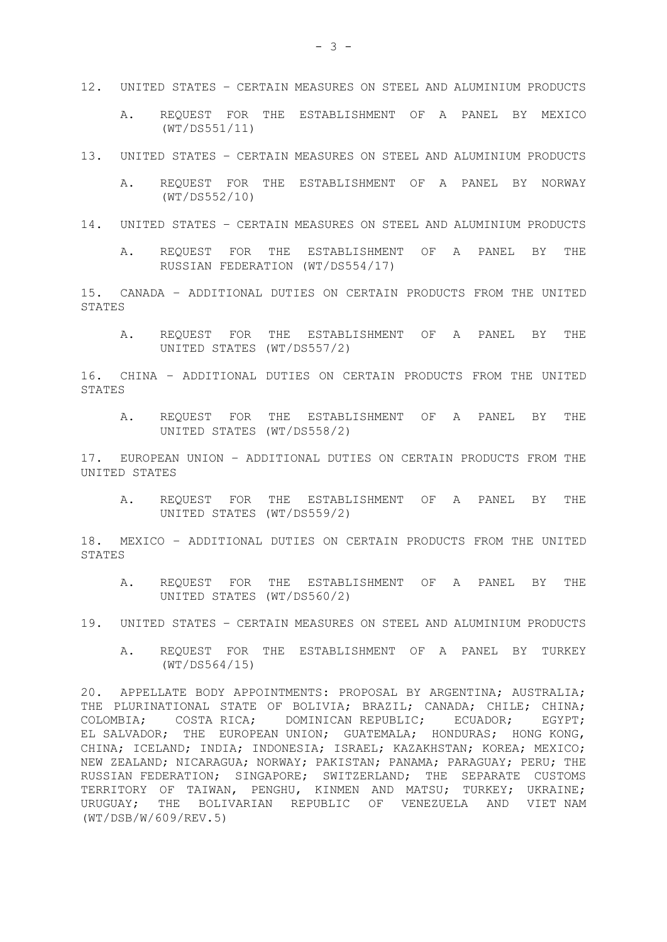- 12. UNITED STATES CERTAIN MEASURES ON STEEL AND ALUMINIUM PRODUCTS
	- A. REQUEST FOR THE ESTABLISHMENT OF A PANEL BY MEXICO (WT/DS551/11)
- 13. UNITED STATES CERTAIN MEASURES ON STEEL AND ALUMINIUM PRODUCTS
	- A. REQUEST FOR THE ESTABLISHMENT OF A PANEL BY NORWAY (WT/DS552/10)
- 14. UNITED STATES CERTAIN MEASURES ON STEEL AND ALUMINIUM PRODUCTS
	- A. REQUEST FOR THE ESTABLISHMENT OF A PANEL BY THE RUSSIAN FEDERATION (WT/DS554/17)

15. CANADA – ADDITIONAL DUTIES ON CERTAIN PRODUCTS FROM THE UNITED STATES

A. REQUEST FOR THE ESTABLISHMENT OF A PANEL BY THE UNITED STATES (WT/DS557/2)

16. CHINA – ADDITIONAL DUTIES ON CERTAIN PRODUCTS FROM THE UNITED STATES

A. REQUEST FOR THE ESTABLISHMENT OF A PANEL BY THE UNITED STATES (WT/DS558/2)

17. EUROPEAN UNION – ADDITIONAL DUTIES ON CERTAIN PRODUCTS FROM THE UNITED STATES

A. REQUEST FOR THE ESTABLISHMENT OF A PANEL BY THE UNITED STATES (WT/DS559/2)

18. MEXICO – ADDITIONAL DUTIES ON CERTAIN PRODUCTS FROM THE UNITED STATES

- A. REQUEST FOR THE ESTABLISHMENT OF A PANEL BY THE UNITED STATES (WT/DS560/2)
- 19. UNITED STATES CERTAIN MEASURES ON STEEL AND ALUMINIUM PRODUCTS
	- A. REQUEST FOR THE ESTABLISHMENT OF A PANEL BY TURKEY (WT/DS564/15)

20. APPELLATE BODY APPOINTMENTS: PROPOSAL BY ARGENTINA; AUSTRALIA; THE PLURINATIONAL STATE OF BOLIVIA; BRAZIL; CANADA; CHILE; CHINA; COLOMBIA; COSTA RICA; DOMINICAN REPUBLIC; ECUADOR; EGYPT; EL SALVADOR; THE EUROPEAN UNION; GUATEMALA; HONDURAS; HONG KONG, CHINA; ICELAND; INDIA; INDONESIA; ISRAEL; KAZAKHSTAN; KOREA; MEXICO; NEW ZEALAND; NICARAGUA; NORWAY; PAKISTAN; PANAMA; PARAGUAY; PERU; THE RUSSIAN FEDERATION; SINGAPORE; SWITZERLAND; THE SEPARATE CUSTOMS TERRITORY OF TAIWAN, PENGHU, KINMEN AND MATSU; TURKEY; UKRAINE; URUGUAY; THE BOLIVARIAN REPUBLIC OF VENEZUELA AND VIET NAM (WT/DSB/W/609/REV.5)